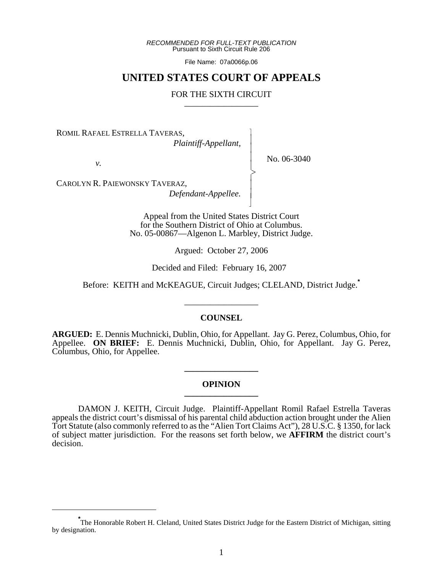*RECOMMENDED FOR FULL-TEXT PUBLICATION* Pursuant to Sixth Circuit Rule 206

File Name: 07a0066p.06

# **UNITED STATES COURT OF APPEALS**

## FOR THE SIXTH CIRCUIT

 $\overline{\phantom{a}}$ - - - -  $\succ$ |<br>|<br>| - - N

ROMIL RAFAEL ESTRELLA TAVERAS,

*Plaintiff-Appellant,*

*v.*

No. 06-3040

CAROLYN R. PAIEWONSKY TAVERAZ, *Defendant-Appellee.*

> Appeal from the United States District Court for the Southern District of Ohio at Columbus. No. 05-00867—Algenon L. Marbley, District Judge.

> > Argued: October 27, 2006

Decided and Filed: February 16, 2007

Before: KEITH and McKEAGUE, Circuit Judges; CLELAND, District Judge.**\***

\_\_\_\_\_\_\_\_\_\_\_\_\_\_\_\_\_

### **COUNSEL**

**ARGUED:** E. Dennis Muchnicki, Dublin, Ohio, for Appellant. Jay G. Perez, Columbus, Ohio, for Appellee. **ON BRIEF:** E. Dennis Muchnicki, Dublin, Ohio, for Appellant. Jay G. Perez, Columbus, Ohio, for Appellee.

## **OPINION \_\_\_\_\_\_\_\_\_\_\_\_\_\_\_\_\_**

**\_\_\_\_\_\_\_\_\_\_\_\_\_\_\_\_\_**

DAMON J. KEITH, Circuit Judge. Plaintiff-Appellant Romil Rafael Estrella Taveras appeals the district court's dismissal of his parental child abduction action brought under the Alien Tort Statute (also commonly referred to as the "Alien Tort Claims Act"), 28 U.S.C. § 1350, for lack of subject matter jurisdiction. For the reasons set forth below, we **AFFIRM** the district court's decision.

**<sup>\*</sup>** The Honorable Robert H. Cleland, United States District Judge for the Eastern District of Michigan, sitting by designation.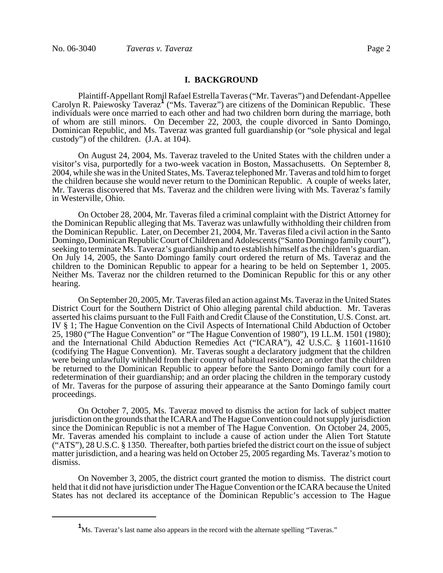### **I. BACKGROUND**

Plaintiff-Appellant Romil Rafael Estrella Taveras ("Mr. Taveras") and Defendant-Appellee Carolyn R. Paiewosky Taveraz**<sup>1</sup>** ("Ms. Taveraz") are citizens of the Dominican Republic. These individuals were once married to each other and had two children born during the marriage, both of whom are still minors. On December 22, 2003, the couple divorced in Santo Domingo, Dominican Republic, and Ms. Taveraz was granted full guardianship (or "sole physical and legal custody") of the children. (J.A. at 104).

On August 24, 2004, Ms. Taveraz traveled to the United States with the children under a visitor's visa, purportedly for a two-week vacation in Boston, Massachusetts. On September 8, 2004, while she was in the United States, Ms. Taveraz telephoned Mr. Taveras and told him to forget the children because she would never return to the Dominican Republic. A couple of weeks later, Mr. Taveras discovered that Ms. Taveraz and the children were living with Ms. Taveraz's family in Westerville, Ohio.

On October 28, 2004, Mr. Taveras filed a criminal complaint with the District Attorney for the Dominican Republic alleging that Ms. Taveraz was unlawfully withholding their children from the Dominican Republic. Later, on December 21, 2004, Mr. Taveras filed a civil action in the Santo Domingo, Dominican Republic Court of Children and Adolescents ("Santo Domingo family court"), seeking to terminate Ms. Taveraz's guardianship and to establish himself as the children's guardian. On July 14, 2005, the Santo Domingo family court ordered the return of Ms. Taveraz and the children to the Dominican Republic to appear for a hearing to be held on September 1, 2005. Neither Ms. Taveraz nor the children returned to the Dominican Republic for this or any other hearing.

On September 20, 2005, Mr. Taveras filed an action against Ms. Taveraz in the United States District Court for the Southern District of Ohio alleging parental child abduction. Mr. Taveras asserted his claims pursuant to the Full Faith and Credit Clause of the Constitution, U.S. Const. art. IV § 1; The Hague Convention on the Civil Aspects of International Child Abduction of October 25, 1980 ("The Hague Convention" or "The Hague Convention of 1980"), 19 I.L.M. 1501 (1980); and the International Child Abduction Remedies Act ("ICARA"), 42 U.S.C. § 11601-11610 (codifying The Hague Convention). Mr. Taveras sought a declaratory judgment that the children were being unlawfully withheld from their country of habitual residence; an order that the children be returned to the Dominican Republic to appear before the Santo Domingo family court for a redetermination of their guardianship; and an order placing the children in the temporary custody of Mr. Taveras for the purpose of assuring their appearance at the Santo Domingo family court proceedings.

On October 7, 2005, Ms. Taveraz moved to dismiss the action for lack of subject matter jurisdiction on the grounds that the ICARA and The Hague Convention could not supply jurisdiction since the Dominican Republic is not a member of The Hague Convention. On October 24, 2005, Mr. Taveras amended his complaint to include a cause of action under the Alien Tort Statute ("ATS"), 28 U.S.C. § 1350. Thereafter, both parties briefed the district court on the issue of subject matter jurisdiction, and a hearing was held on October 25, 2005 regarding Ms. Taveraz's motion to dismiss.

On November 3, 2005, the district court granted the motion to dismiss. The district court held that it did not have jurisdiction under The Hague Convention or the ICARA because the United States has not declared its acceptance of the Dominican Republic's accession to The Hague

**<sup>1</sup>** Ms. Taveraz's last name also appears in the record with the alternate spelling "Taveras."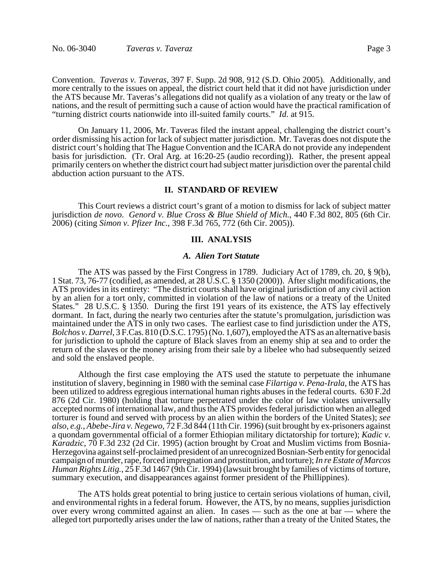Convention. *Taveras v. Taveras*, 397 F. Supp. 2d 908, 912 (S.D. Ohio 2005). Additionally, and more centrally to the issues on appeal, the district court held that it did not have jurisdiction under the ATS because Mr. Taveras's allegations did not qualify as a violation of any treaty or the law of nations, and the result of permitting such a cause of action would have the practical ramification of "turning district courts nationwide into ill-suited family courts." *Id*. at 915.

On January 11, 2006, Mr. Taveras filed the instant appeal, challenging the district court's order dismissing his action for lack of subject matter jurisdiction. Mr. Taveras does not dispute the district court's holding that The Hague Convention and the ICARA do not provide any independent basis for jurisdiction. (Tr. Oral Arg. at 16:20-25 (audio recording)). Rather, the present appeal primarily centers on whether the district court had subject matter jurisdiction over the parental child abduction action pursuant to the ATS.

#### **II. STANDARD OF REVIEW**

This Court reviews a district court's grant of a motion to dismiss for lack of subject matter jurisdiction *de novo*. *Genord v. Blue Cross & Blue Shield of Mich.*, 440 F.3d 802, 805 (6th Cir. 2006) (citing *Simon v. Pfizer Inc.*, 398 F.3d 765, 772 (6th Cir. 2005)).

## **III. ANALYSIS**

#### *A. Alien Tort Statute*

The ATS was passed by the First Congress in 1789. Judiciary Act of 1789, ch. 20, § 9(b), 1 Stat. 73, 76-77 (codified, as amended, at 28 U.S.C. § 1350 (2000)). After slight modifications, the ATS provides in its entirety: "The district courts shall have original jurisdiction of any civil action by an alien for a tort only, committed in violation of the law of nations or a treaty of the United States." 28 U.S.C. § 1350. During the first 191 years of its existence, the ATS lay effectively dormant. In fact, during the nearly two centuries after the statute's promulgation, jurisdiction was maintained under the ATS in only two cases. The earliest case to find jurisdiction under the ATS, *Bolchos v. Darrel*, 3 F.Cas. 810 (D.S.C. 1795) (No. 1,607), employed the ATS as an alternative basis for jurisdiction to uphold the capture of Black slaves from an enemy ship at sea and to order the return of the slaves or the money arising from their sale by a libelee who had subsequently seized and sold the enslaved people.

Although the first case employing the ATS used the statute to perpetuate the inhumane institution of slavery, beginning in 1980 with the seminal case *Filartiga v. Pena-Irala*, the ATS has been utilized to address egregious international human rights abuses in the federal courts. 630 F.2d 876 (2d Cir. 1980) (holding that torture perpetrated under the color of law violates universally accepted norms of international law, and thus the ATS provides federal jurisdiction when an alleged torturer is found and served with process by an alien within the borders of the United States); *see also, e.g.*, *Abebe-Jira v. Negewo*, 72 F.3d 844 (11th Cir. 1996) (suit brought by ex-prisoners against a quondam governmental official of a former Ethiopian military dictatorship for torture); *Kadic v. Karadzic*, 70 F.3d 232 (2d Cir. 1995) (action brought by Croat and Muslim victims from Bosnia-Herzegovina against self-proclaimed president of an unrecognized Bosnian-Serb entity for genocidal campaign of murder, rape, forced impregnation and prostitution, and torture); *In re Estate of Marcos Human Rights Litig.*, 25 F.3d 1467 (9th Cir. 1994) (lawsuit brought by families of victims of torture, summary execution, and disappearances against former president of the Phillippines).

The ATS holds great potential to bring justice to certain serious violations of human, civil, and environmental rights in a federal forum. However, the ATS, by no means, supplies jurisdiction over every wrong committed against an alien. In cases — such as the one at bar — where the alleged tort purportedly arises under the law of nations, rather than a treaty of the United States, the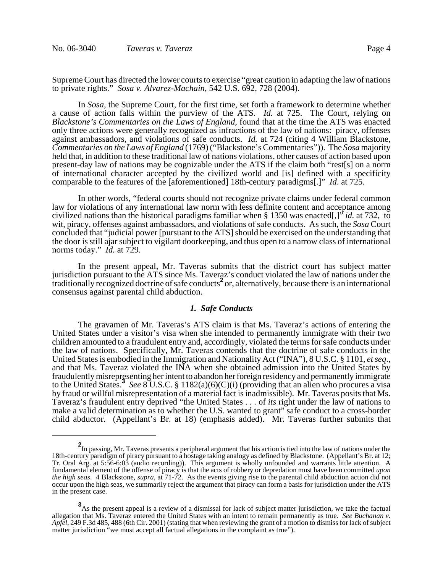Supreme Court has directed the lower courts to exercise "great caution in adapting the law of nations to private rights." *Sosa v. Alvarez-Machain*, 542 U.S. 692, 728 (2004).

In *Sosa*, the Supreme Court, for the first time, set forth a framework to determine whether a cause of action falls within the purview of the ATS. *Id.* at 725. The Court, relying on *Blackstone's Commentaries on the Laws of England*, found that at the time the ATS was enacted only three actions were generally recognized as infractions of the law of nations: piracy, offenses against ambassadors, and violations of safe conducts. *Id.* at 724 (citing 4 William Blackstone, *Commentaries on the Laws of England* (1769) ("Blackstone's Commentaries")). The *Sosa* majority held that, in addition to these traditional law of nations violations, other causes of action based upon present-day law of nations may be cognizable under the ATS if the claim both "rest[s] on a norm of international character accepted by the civilized world and [is] defined with a specificity comparable to the features of the [aforementioned] 18th-century paradigms[.]" *Id*. at 725.

In other words, "federal courts should not recognize private claims under federal common law for violations of any international law norm with less definite content and acceptance among civilized nations than the historical paradigms familiar when § 1350 was enacted[,]" *id.* at 732, to wit, piracy, offenses against ambassadors, and violations of safe conducts. As such, the *Sosa* Court concluded that "judicial power [pursuant to the ATS] should be exercised on the understanding that the door is still ajar subject to vigilant doorkeeping, and thus open to a narrow class of international norms today." *Id.* at 729.

In the present appeal, Mr. Taveras submits that the district court has subject matter jurisdiction pursuant to the ATS since Ms. Taveraz's conduct violated the law of nations under the traditionally recognized doctrine of safe conducts<sup>2</sup> or, alternatively, because there is an international consensus against parental child abduction.

# *1. Safe Conducts*

The gravamen of Mr. Taveras's ATS claim is that Ms. Taveraz's actions of entering the United States under a visitor's visa when she intended to permanently immigrate with their two children amounted to a fraudulent entry and, accordingly, violated the terms for safe conducts under the law of nations. Specifically, Mr. Taveras contends that the doctrine of safe conducts in the United States is embodied in the Immigration and Nationality Act ("INA"), 8 U.S.C. § 1101, *et seq*., and that Ms. Taveraz violated the INA when she obtained admission into the United States by fraudulently misrepresenting her intent to abandon her foreign residency and permanently immigrate to the United States.**<sup>3</sup>** *See* 8 U.S.C. § 1182(a)(6)(C)(i) (providing that an alien who procures a visa by fraud or willful misrepresentation of a material fact is inadmissible). Mr. Taveras posits that Ms. Taveraz's fraudulent entry deprived "the United States . . . of *its* right under the law of nations to make a valid determination as to whether the U.S. wanted to grant" safe conduct to a cross-border child abductor. (Appellant's Br. at 18) (emphasis added). Mr. Taveras further submits that

**<sup>2</sup>** In passing, Mr. Taveras presents a peripheral argument that his action is tied into the law of nations under the 18th-century paradigm of piracy pursuant to a hostage taking analogy as defined by Blackstone. (Appellant's Br. at 12; Tr. Oral Arg. at 5:56-6:03 (audio recording)). This argument is wholly unfounded and warrants little attention. A fundamental element of the offense of piracy is that the acts of robbery or depredation must have been committed *upon the high seas*. 4 Blackstone, *supra*, at 71-72. As the events giving rise to the parental child abduction action did not occur upon the high seas, we summarily reject the argument that piracy can form a basis for jurisdiction under the ATS in the present case.

**<sup>3</sup>**<br>As the present appeal is a review of a dismissal for lack of subject matter jurisdiction, we take the factual allegation that Ms. Taveraz entered the United States with an intent to remain permanently as true. *See Buchanan v. Apfel*, 249 F.3d 485, 488 (6th Cir. 2001) (stating that when reviewing the grant of a motion to dismiss for lack of subject matter jurisdiction "we must accept all factual allegations in the complaint as true").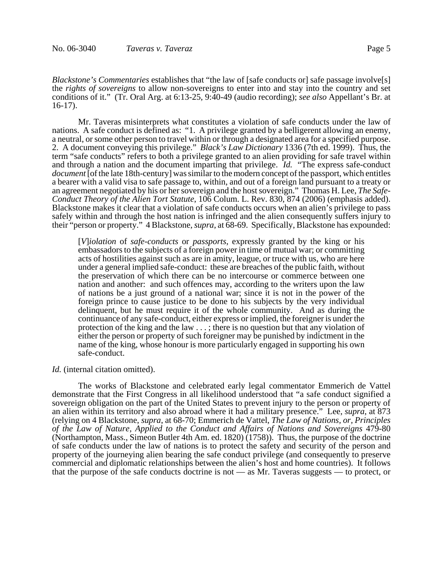*Blackstone's Commentaries* establishes that "the law of [safe conducts or] safe passage involve[s] the *rights of sovereigns* to allow non-sovereigns to enter into and stay into the country and set conditions of it." (Tr. Oral Arg. at 6:13-25, 9:40-49 (audio recording); *see also* Appellant's Br. at 16-17).

Mr. Taveras misinterprets what constitutes a violation of safe conducts under the law of nations. A safe conduct is defined as: "1. A privilege granted by a belligerent allowing an enemy, a neutral, or some other person to travel within or through a designated area for a specified purpose. 2. A document conveying this privilege." *Black's Law Dictionary* 1336 (7th ed. 1999). Thus, the term "safe conducts" refers to both a privilege granted to an alien providing for safe travel within and through a nation and the document imparting that privilege. *Id.* "The express safe-conduct *document* [of the late 18th-century] was similar to the modern concept of the passport, which entitles a bearer with a valid visa to safe passage to, within, and out of a foreign land pursuant to a treaty or an agreement negotiated by his or her sovereign and the host sovereign." Thomas H. Lee, *The Safe-Conduct Theory of the Alien Tort Statute*, 106 Colum. L. Rev. 830, 874 (2006) (emphasis added). Blackstone makes it clear that a violation of safe conducts occurs when an alien's privilege to pass safely within and through the host nation is infringed and the alien consequently suffers injury to their "person or property." 4 Blackstone, *supra*, at 68-69. Specifically, Blackstone has expounded:

[*V*]*iolation* of *safe-conducts* or *passports*, expressly granted by the king or his embassadors to the subjects of a foreign power in time of mutual war; or committing acts of hostilities against such as are in amity, league, or truce with us, who are here under a general implied safe-conduct: these are breaches of the public faith, without the preservation of which there can be no intercourse or commerce between one nation and another: and such offences may, according to the writers upon the law of nations be a just ground of a national war; since it is not in the power of the foreign prince to cause justice to be done to his subjects by the very individual delinquent, but he must require it of the whole community. And as during the continuance of any safe-conduct, either express or implied, the foreigner is under the protection of the king and the law . . . ; there is no question but that any violation of either the person or property of such foreigner may be punished by indictment in the name of the king, whose honour is more particularly engaged in supporting his own safe-conduct.

### *Id.* (internal citation omitted).

The works of Blackstone and celebrated early legal commentator Emmerich de Vattel demonstrate that the First Congress in all likelihood understood that "a safe conduct signified a sovereign obligation on the part of the United States to prevent injury to the person or property of an alien within its territory and also abroad where it had a military presence." Lee, *supra*, at 873 (relying on 4 Blackstone, *supra*, at 68-70; Emmerich de Vattel, *The Law of Nations, or, Principles of the Law of Nature, Applied to the Conduct and Affairs of Nations and Sovereigns* 479-80 (Northampton, Mass., Simeon Butler 4th Am. ed. 1820) (1758)). Thus, the purpose of the doctrine of safe conducts under the law of nations is to protect the safety and security of the person and property of the journeying alien bearing the safe conduct privilege (and consequently to preserve commercial and diplomatic relationships between the alien's host and home countries). It follows that the purpose of the safe conducts doctrine is not — as Mr. Taveras suggests — to protect, or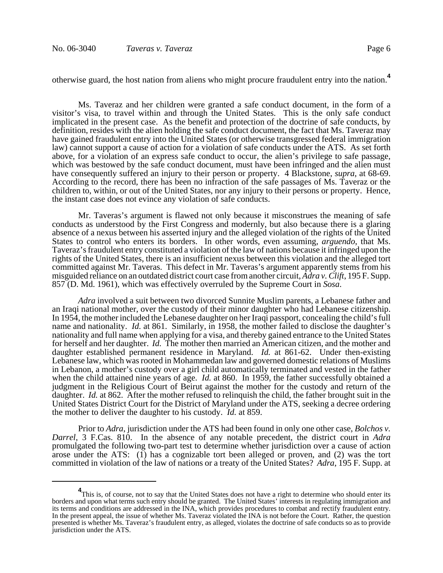otherwise guard, the host nation from aliens who might procure fraudulent entry into the nation.**<sup>4</sup>**

Ms. Taveraz and her children were granted a safe conduct document, in the form of a visitor's visa, to travel within and through the United States. This is the only safe conduct implicated in the present case. As the benefit and protection of the doctrine of safe conducts, by definition, resides with the alien holding the safe conduct document, the fact that Ms. Taveraz may have gained fraudulent entry into the United States (or otherwise transgressed federal immigration law) cannot support a cause of action for a violation of safe conducts under the ATS. As set forth above, for a violation of an express safe conduct to occur, the alien's privilege to safe passage, which was bestowed by the safe conduct document, must have been infringed and the alien must have consequently suffered an injury to their person or property. 4 Blackstone, *supra*, at 68-69. According to the record, there has been no infraction of the safe passages of Ms. Taveraz or the children to, within, or out of the United States, nor any injury to their persons or property. Hence, the instant case does not evince any violation of safe conducts.

Mr. Taveras's argument is flawed not only because it misconstrues the meaning of safe conducts as understood by the First Congress and modernly, but also because there is a glaring absence of a nexus between his asserted injury and the alleged violation of the rights of the United States to control who enters its borders. In other words, even assuming, *arguendo*, that Ms. Taveraz's fraudulent entry constituted a violation of the law of nations because it infringed upon the rights of the United States, there is an insufficient nexus between this violation and the alleged tort committed against Mr. Taveras. This defect in Mr. Taveras's argument apparently stems from his misguided reliance on an outdated district court case from another circuit, *Adra v. Clift*, 195 F. Supp. 857 (D. Md. 1961), which was effectively overruled by the Supreme Court in *Sosa*.

*Adra* involved a suit between two divorced Sunnite Muslim parents, a Lebanese father and an Iraqi national mother, over the custody of their minor daughter who had Lebanese citizenship. In 1954, the mother included the Lebanese daughter on her Iraqi passport, concealing the child's full name and nationality. *Id.* at 861. Similarly, in 1958, the mother failed to disclose the daughter's nationality and full name when applying for a visa, and thereby gained entrance to the United States for herself and her daughter. *Id.* The mother then married an American citizen, and the mother and daughter established permanent residence in Maryland. *Id.* at 861-62. Under then-existing Lebanese law, which was rooted in Mohammedan law and governed domestic relations of Muslims in Lebanon, a mother's custody over a girl child automatically terminated and vested in the father when the child attained nine years of age. *Id.* at 860. In 1959, the father successfully obtained a judgment in the Religious Court of Beirut against the mother for the custody and return of the daughter. *Id.* at 862. After the mother refused to relinquish the child, the father brought suit in the United States District Court for the District of Maryland under the ATS, seeking a decree ordering the mother to deliver the daughter to his custody. *Id.* at 859.

Prior to *Adra*, jurisdiction under the ATS had been found in only one other case, *Bolchos v. Darrel*, 3 F.Cas. 810. In the absence of any notable precedent, the district court in *Adra* promulgated the following two-part test to determine whether jurisdiction over a cause of action arose under the ATS: (1) has a cognizable tort been alleged or proven, and (2) was the tort committed in violation of the law of nations or a treaty of the United States? *Adra*, 195 F. Supp. at

<sup>&</sup>lt;sup>4</sup>This is, of course, not to say that the United States does not have a right to determine who should enter its borders and upon what terms such entry should be granted. The United States' interests in regulating immigration and its terms and conditions are addressed in the INA, which provides procedures to combat and rectify fraudulent entry. In the present appeal, the issue of whether Ms. Taveraz violated the INA is not before the Court. Rather, the question presented is whether Ms. Taveraz's fraudulent entry, as alleged, violates the doctrine of safe conducts so as to provide jurisdiction under the ATS.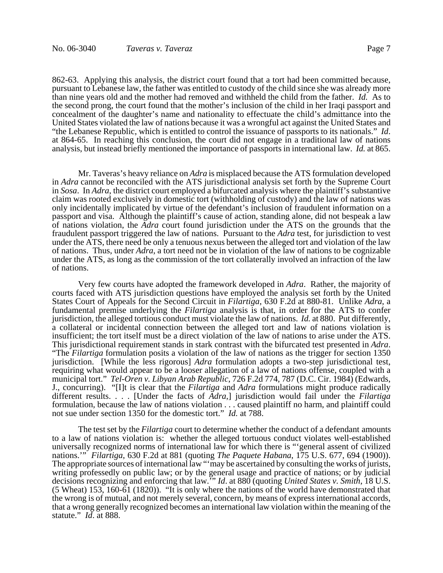862-63. Applying this analysis, the district court found that a tort had been committed because, pursuant to Lebanese law, the father was entitled to custody of the child since she was already more than nine years old and the mother had removed and withheld the child from the father. *Id.* As to the second prong, the court found that the mother's inclusion of the child in her Iraqi passport and concealment of the daughter's name and nationality to effectuate the child's admittance into the United States violated the law of nations because it was a wrongful act against the United States and "the Lebanese Republic, which is entitled to control the issuance of passports to its nationals." *Id*. at 864-65. In reaching this conclusion, the court did not engage in a traditional law of nations analysis, but instead briefly mentioned the importance of passports in international law. *Id.* at 865.

Mr. Taveras's heavy reliance on *Adra* is misplaced because the ATS formulation developed in *Adra* cannot be reconciled with the ATS jurisdictional analysis set forth by the Supreme Court in *Sosa*. In *Adra*, the district court employed a bifurcated analysis where the plaintiff's substantive claim was rooted exclusively in domestic tort (withholding of custody) and the law of nations was only incidentally implicated by virtue of the defendant's inclusion of fraudulent information on a passport and visa. Although the plaintiff's cause of action, standing alone, did not bespeak a law of nations violation, the *Adra* court found jurisdiction under the ATS on the grounds that the fraudulent passport triggered the law of nations. Pursuant to the *Adra* test, for jurisdiction to vest under the ATS, there need be only a tenuous nexus between the alleged tort and violation of the law of nations. Thus, under *Adra*, a tort need not be in violation of the law of nations to be cognizable under the ATS, as long as the commission of the tort collaterally involved an infraction of the law of nations.

 Very few courts have adopted the framework developed in *Adra*. Rather, the majority of courts faced with ATS jurisdiction questions have employed the analysis set forth by the United States Court of Appeals for the Second Circuit in *Filartiga*, 630 F.2d at 880-81. Unlike *Adra*, a fundamental premise underlying the *Filartiga* analysis is that, in order for the ATS to confer jurisdiction, the alleged tortious conduct must violate the law of nations. *Id.* at 880. Put differently, a collateral or incidental connection between the alleged tort and law of nations violation is insufficient; the tort itself must be a direct violation of the law of nations to arise under the ATS. This jurisdictional requirement stands in stark contrast with the bifurcated test presented in *Adra*. "The *Filartiga* formulation posits a violation of the law of nations as the trigger for section 1350 jurisdiction. [While the less rigorous] *Adra* formulation adopts a two-step jurisdictional test, requiring what would appear to be a looser allegation of a law of nations offense, coupled with a municipal tort." *Tel-Oren v. Libyan Arab Republic*, 726 F.2d 774, 787 (D.C. Cir. 1984) (Edwards, J., concurring). "[I]t is clear that the *Filartiga* and *Adra* formulations might produce radically different results. . . . [Under the facts of *Adra*,] jurisdiction would fail under the *Filartiga* formulation*,* because the law of nations violation . . . caused plaintiff no harm, and plaintiff could not sue under section 1350 for the domestic tort." *Id.* at 788.

 The test set by the *Filartiga* court to determine whether the conduct of a defendant amounts to a law of nations violation is: whether the alleged tortuous conduct violates well-established universally recognized norms of international law for which there is "'general assent of civilized nations.'" *Filartiga*, 630 F.2d at 881 (quoting *The Paquete Habana*, 175 U.S. 677, 694 (1900)). The appropriate sources of international law ""may be ascertained by consulting the works of jurists, writing professedly on public law; or by the general usage and practice of nations; or by judicial decisions recognizing and enforcing that law.'" *Id*. at 880 (quoting *United States v. Smith*, 18 U.S. (5 Wheat) 153, 160-61 (1820)). "It is only where the nations of the world have demonstrated that the wrong is of mutual, and not merely several, concern, by means of express international accords, that a wrong generally recognized becomes an international law violation within the meaning of the statute." *Id*. at 888.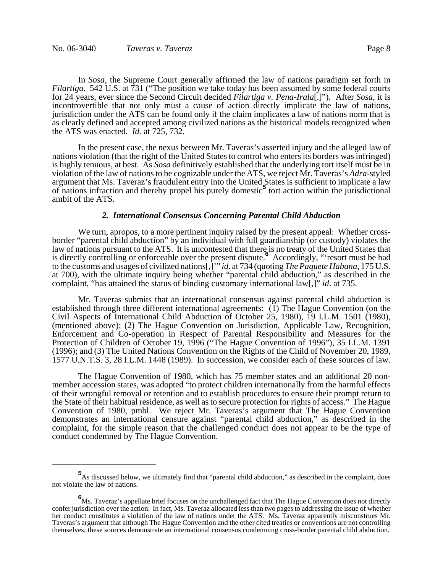In *Sosa*, the Supreme Court generally affirmed the law of nations paradigm set forth in *Filartiga*. 542 U.S. at 731 ("The position we take today has been assumed by some federal courts for 24 years, ever since the Second Circuit decided *Filartiga v. Pena-Irala*[.]"). After *Sosa*, it is incontrovertible that not only must a cause of action directly implicate the law of nations, jurisdiction under the ATS can be found only if the claim implicates a law of nations norm that is as clearly defined and accepted among civilized nations as the historical models recognized when the ATS was enacted. *Id.* at 725, 732.

In the present case, the nexus between Mr. Taveras's asserted injury and the alleged law of nations violation (that the right of the United States to control who enters its borders was infringed) is highly tenuous, at best. As *Sosa* definitively established that the underlying tort itself must be in violation of the law of nations to be cognizable under the ATS, we reject Mr. Taveras's *Adra*-styled argument that Ms. Taveraz's fraudulent entry into the United States is sufficient to implicate a law of nations infraction and thereby propel his purely domestic<sup>5</sup> tort action within the jurisdictional ambit of the ATS.

#### *2. International Consensus Concerning Parental Child Abduction*

We turn, apropos, to a more pertinent inquiry raised by the present appeal: Whether crossborder "parental child abduction" by an individual with full guardianship (or custody) violates the law of nations pursuant to the ATS. It is uncontested that there is no treaty of the United States that is directly controlling or enforceable over the present dispute.**<sup>6</sup>** Accordingly, "'resort must be had to the customs and usages of civilized nations[,]'" *id*. at 734 (quoting *The Paquete Habana*, 175 U.S. at 700), with the ultimate inquiry being whether "parental child abduction," as described in the complaint, "has attained the status of binding customary international law[,]" *id*. at 735.

Mr. Taveras submits that an international consensus against parental child abduction is established through three different international agreements: (1) The Hague Convention (on the Civil Aspects of International Child Abduction of October 25, 1980), 19 I.L.M. 1501 (1980), (mentioned above); (2) The Hague Convention on Jurisdiction, Applicable Law, Recognition, Enforcement and Co-operation in Respect of Parental Responsibility and Measures for the Protection of Children of October 19, 1996 ("The Hague Convention of 1996"), 35 I.L.M. 1391 (1996); and (3) The United Nations Convention on the Rights of the Child of November 20, 1989, 1577 U.N.T.S. 3, 28 I.L.M. 1448 (1989). In succession, we consider each of these sources of law.

The Hague Convention of 1980, which has 75 member states and an additional 20 nonmember accession states, was adopted "to protect children internationally from the harmful effects of their wrongful removal or retention and to establish procedures to ensure their prompt return to the State of their habitual residence, as well as to secure protection for rights of access." The Hague Convention of 1980, pmbl. We reject Mr. Taveras's argument that The Hague Convention demonstrates an international censure against "parental child abduction," as described in the complaint, for the simple reason that the challenged conduct does not appear to be the type of conduct condemned by The Hague Convention.

**<sup>5</sup>**<br>As discussed below, we ultimately find that "parental child abduction," as described in the complaint, does not violate the law of nations.

**<sup>6</sup>** Ms. Taveraz's appellate brief focuses on the unchallenged fact that The Hague Convention does not directly confer jurisdiction over the action. In fact, Ms. Taveraz allocated less than two pages to addressing the issue of whether her conduct constitutes a violation of the law of nations under the ATS. Ms. Taveraz apparently misconstrues Mr. Taveras's argument that although The Hague Convention and the other cited treaties or conventions are not controlling themselves, these sources demonstrate an international consensus condemning cross-border parental child abduction.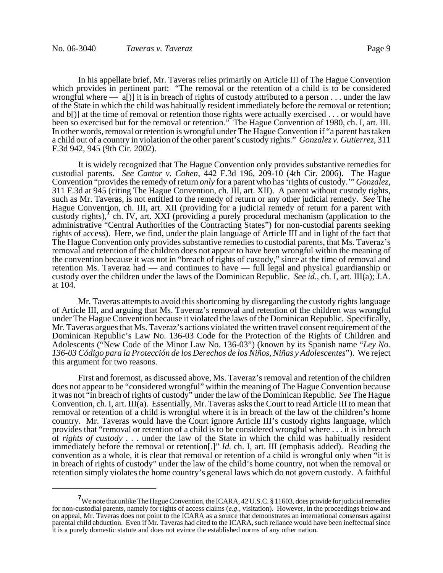In his appellate brief, Mr. Taveras relies primarily on Article III of The Hague Convention which provides in pertinent part: "The removal or the retention of a child is to be considered wrongful where  $\frac{a}{1}$  it is in breach of rights of custody attributed to a person . . . under the law of the State in which the child was habitually resident immediately before the removal or retention; and b[)] at the time of removal or retention those rights were actually exercised . . . or would have been so exercised but for the removal or retention." The Hague Convention of 1980, ch. I, art. III. In other words, removal or retention is wrongful under The Hague Convention if "a parent has taken a child out of a country in violation of the other parent's custody rights." *Gonzalez v. Gutierrez*, 311 F.3d 942, 945 (9th Cir. 2002).

It is widely recognized that The Hague Convention only provides substantive remedies for custodial parents. *See Cantor v. Cohen*, 442 F.3d 196, 209-10 (4th Cir. 2006). The Hague Convention "provides the remedy of return *only* for a parent who has 'rights of custody.'" *Gonzalez*, 311 F.3d at 945 (citing The Hague Convention, ch. III, art. XII). A parent without custody rights, such as Mr. Taveras, is not entitled to the remedy of return or any other judicial remedy. *See* The Hague Convention, ch. III, art. XII (providing for a judicial remedy of return for a parent with right convention, ent in, and in (providing for a judicial remedy of retain for a parent with<br>custody rights), ch. IV, art. XXI (providing a purely procedural mechanism (application to the administrative "Central Authorities of the Contracting States") for non-custodial parents seeking rights of access). Here, we find, under the plain language of Article III and in light of the fact that The Hague Convention only provides substantive remedies to custodial parents, that Ms. Taveraz's removal and retention of the children does not appear to have been wrongful within the meaning of the convention because it was not in "breach of rights of custody," since at the time of removal and retention Ms. Taveraz had — and continues to have — full legal and physical guardianship or custody over the children under the laws of the Dominican Republic. *See id.*, ch. I, art. III(a); J.A. at 104.

Mr. Taveras attempts to avoid this shortcoming by disregarding the custody rights language of Article III, and arguing that Ms. Taveraz's removal and retention of the children was wrongful under The Hague Convention because it violated the laws of the Dominican Republic. Specifically, Mr. Taveras argues that Ms. Taveraz's actions violated the written travel consent requirement of the Dominican Republic's Law No. 136-03 Code for the Protection of the Rights of Children and Adolescents ("New Code of the Minor Law No. 136-03") (known by its Spanish name "*Ley No. 136-03 Código para la Protección de los Derechos de los Niños, Niñas y Adolescentes*"). We reject this argument for two reasons.

First and foremost, as discussed above, Ms. Taveraz's removal and retention of the children does not appear to be "considered wrongful" within the meaning of The Hague Convention because it was not "in breach of rights of custody" under the law of the Dominican Republic. *See* The Hague Convention, ch. I, art. III(a). Essentially, Mr. Taveras asks the Court to read Article III to mean that removal or retention of a child is wrongful where it is in breach of the law of the children's home country. Mr. Taveras would have the Court ignore Article III's custody rights language, which provides that "removal or retention of a child is to be considered wrongful where . . . it is in breach of *rights of custody* . . . under the law of the State in which the child was habitually resident immediately before the removal or retention[.]" *Id.* ch. I, art. III (emphasis added). Reading the convention as a whole, it is clear that removal or retention of a child is wrongful only when "it is in breach of rights of custody" under the law of the child's home country, not when the removal or retention simply violates the home country's general laws which do not govern custody. A faithful

**<sup>7</sup>** We note that unlike The Hague Convention, the ICARA, 42 U.S.C. § 11603, does provide for judicial remedies for non-custodial parents, namely for rights of access claims (*e.g*., visitation). However, in the proceedings below and on appeal, Mr. Taveras does not point to the ICARA as a source that demonstrates an international consensus against parental child abduction. Even if Mr. Taveras had cited to the ICARA, such reliance would have been ineffectual since it is a purely domestic statute and does not evince the established norms of any other nation.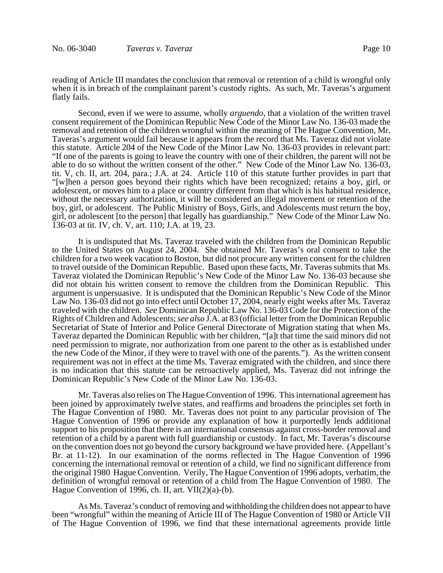reading of Article III mandates the conclusion that removal or retention of a child is wrongful only when it is in breach of the complainant parent's custody rights. As such, Mr. Taveras's argument flatly fails.

Second, even if we were to assume, wholly *arguendo*, that a violation of the written travel consent requirement of the Dominican Republic New Code of the Minor Law No. 136-03 made the removal and retention of the children wrongful within the meaning of The Hague Convention, Mr. Taveras's argument would fail because it appears from the record that Ms. Taveraz did not violate this statute. Article 204 of the New Code of the Minor Law No. 136-03 provides in relevant part: "If one of the parents is going to leave the country with one of their children, the parent will not be able to do so without the written consent of the other." New Code of the Minor Law No. 136-03, tit. V, ch. II, art. 204, para.; J.A. at 24. Article 110 of this statute further provides in part that "[w]hen a person goes beyond their rights which have been recognized; retains a boy, girl, or adolescent, or moves him to a place or country different from that which is his habitual residence, without the necessary authorization, it will be considered an illegal movement or retention of the boy, girl, or adolescent. The Public Ministry of Boys, Girls, and Adolescents must return the boy, girl, or adolescent [to the person] that legally has guardianship." New Code of the Minor Law No. 136-03 at tit. IV, ch. V, art. 110; J.A. at 19, 23.

It is undisputed that Ms. Taveraz traveled with the children from the Dominican Republic to the United States on August 24, 2004. She obtained Mr. Taveras's oral consent to take the children for a two week vacation to Boston, but did not procure any written consent for the children to travel outside of the Dominican Republic. Based upon these facts, Mr. Taveras submits that Ms. Taveraz violated the Dominican Republic's New Code of the Minor Law No. 136-03 because she did not obtain his written consent to remove the children from the Dominican Republic. This argument is unpersuasive. It is undisputed that the Dominican Republic's New Code of the Minor Law No. 136-03 did not go into effect until October 17, 2004, nearly eight weeks after Ms. Taveraz traveled with the children. *See* Dominican Republic Law No. 136-03 Code for the Protection of the Rights of Children and Adolescents; *see also* J.A. at 83 (official letter from the Dominican Republic Secretariat of State of Interior and Police General Directorate of Migration stating that when Ms. Taveraz departed the Dominican Republic with her children, "[a]t that time the said minors did not need permission to migrate, nor authorization from one parent to the other as is established under the new Code of the Minor, if they were to travel with one of the parents."). As the written consent requirement was not in effect at the time Ms. Taveraz emigrated with the children, and since there is no indication that this statute can be retroactively applied, Ms. Taveraz did not infringe the Dominican Republic's New Code of the Minor Law No. 136-03.

Mr. Taveras also relies on The Hague Convention of 1996. This international agreement has been joined by approximately twelve states, and reaffirms and broadens the principles set forth in The Hague Convention of 1980. Mr. Taveras does not point to any particular provision of The Hague Convention of 1996 or provide any explanation of how it purportedly lends additional support to his proposition that there is an international consensus against cross-border removal and retention of a child by a parent with full guardianship or custody. In fact, Mr. Taveras's discourse on the convention does not go beyond the cursory background we have provided here. (Appellant's Br. at 11-12). In our examination of the norms reflected in The Hague Convention of 1996 concerning the international removal or retention of a child, we find no significant difference from the original 1980 Hague Convention. Verily, The Hague Convention of 1996 adopts, verbatim, the definition of wrongful removal or retention of a child from The Hague Convention of 1980. The Hague Convention of 1996, ch. II, art.  $VII(2)(a)-(b)$ .

As Ms. Taveraz's conduct of removing and withholding the children does not appear to have been "wrongful" within the meaning of Article III of The Hague Convention of 1980 or Article VII of The Hague Convention of 1996, we find that these international agreements provide little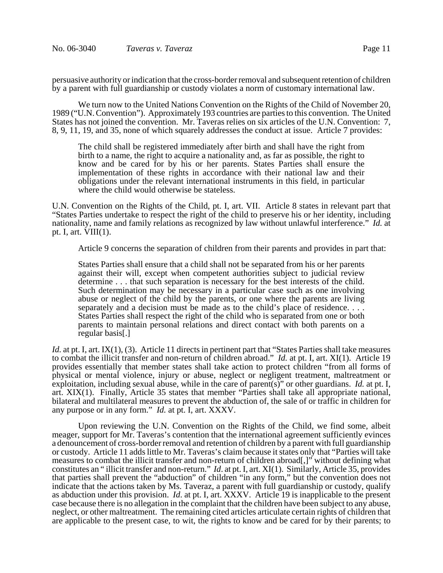persuasive authority or indication that the cross-border removal and subsequent retention of children by a parent with full guardianship or custody violates a norm of customary international law.

We turn now to the United Nations Convention on the Rights of the Child of November 20, 1989 ("U.N. Convention"). Approximately 193 countries are parties to this convention. The United States has not joined the convention. Mr. Taveras relies on six articles of the U.N. Convention: 7, 8, 9, 11, 19, and 35, none of which squarely addresses the conduct at issue. Article 7 provides:

The child shall be registered immediately after birth and shall have the right from birth to a name, the right to acquire a nationality and, as far as possible, the right to know and be cared for by his or her parents. States Parties shall ensure the implementation of these rights in accordance with their national law and their obligations under the relevant international instruments in this field, in particular where the child would otherwise be stateless.

U.N. Convention on the Rights of the Child, pt. I, art. VII. Article 8 states in relevant part that "States Parties undertake to respect the right of the child to preserve his or her identity, including nationality, name and family relations as recognized by law without unlawful interference." *Id.* at pt. I, art.  $VIII(1)$ .

Article 9 concerns the separation of children from their parents and provides in part that:

States Parties shall ensure that a child shall not be separated from his or her parents against their will, except when competent authorities subject to judicial review determine . . . that such separation is necessary for the best interests of the child. Such determination may be necessary in a particular case such as one involving abuse or neglect of the child by the parents, or one where the parents are living separately and a decision must be made as to the child's place of residence. . . . States Parties shall respect the right of the child who is separated from one or both parents to maintain personal relations and direct contact with both parents on a regular basis[.]

*Id.* at pt. I, art. IX(1), (3). Article 11 directs in pertinent part that "States Parties shall take measures to combat the illicit transfer and non-return of children abroad." *Id.* at pt. I, art. XI(1). Article 19 provides essentially that member states shall take action to protect children "from all forms of physical or mental violence, injury or abuse, neglect or negligent treatment, maltreatment or exploitation, including sexual abuse, while in the care of parent(s)" or other guardians. *Id.* at pt. I, art. XIX(1). Finally, Article 35 states that member "Parties shall take all appropriate national, bilateral and multilateral measures to prevent the abduction of, the sale of or traffic in children for any purpose or in any form." *Id.* at pt. I, art. XXXV.

Upon reviewing the U.N. Convention on the Rights of the Child, we find some, albeit meager, support for Mr. Taveras's contention that the international agreement sufficiently evinces a denouncement of cross-border removal and retention of children by a parent with full guardianship or custody. Article 11 adds little to Mr. Taveras's claim because it states only that "Parties will take measures to combat the illicit transfer and non-return of children abroad[,]" without defining what constitutes an " illicit transfer and non-return." *Id*. at pt. I, art. XI(1). Similarly, Article 35, provides that parties shall prevent the "abduction" of children "in any form," but the convention does not indicate that the actions taken by Ms. Taveraz, a parent with full guardianship or custody, qualify as abduction under this provision. *Id*. at pt. I, art. XXXV. Article 19 is inapplicable to the present case because there is no allegation in the complaint that the children have been subject to any abuse, neglect, or other maltreatment. The remaining cited articles articulate certain rights of children that are applicable to the present case, to wit, the rights to know and be cared for by their parents; to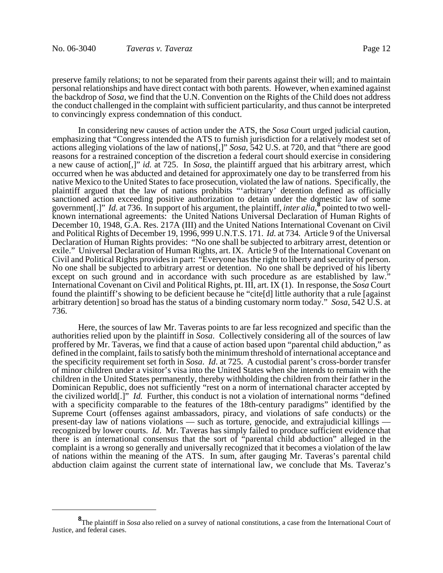preserve family relations; to not be separated from their parents against their will; and to maintain personal relationships and have direct contact with both parents. However, when examined against the backdrop of *Sosa*, we find that the U.N. Convention on the Rights of the Child does not address the conduct challenged in the complaint with sufficient particularity, and thus cannot be interpreted to convincingly express condemnation of this conduct.

In considering new causes of action under the ATS, the *Sosa* Court urged judicial caution, emphasizing that "Congress intended the ATS to furnish jurisdiction for a relatively modest set of actions alleging violations of the law of nations[,]" *Sosa*, 542 U.S. at 720, and that "there are good reasons for a restrained conception of the discretion a federal court should exercise in considering a new cause of action[,]" *id.* at 725. In *Sosa*, the plaintiff argued that his arbitrary arrest, which occurred when he was abducted and detained for approximately one day to be transferred from his native Mexico to the United States to face prosecution, violated the law of nations. Specifically, the plaintiff argued that the law of nations prohibits "'arbitrary' detention defined as officially sanctioned action exceeding positive authorization to detain under the domestic law of some government[.]" *Id.* at 736. In support of his argument, the plaintiff, *inter alia*, pointed to two wellknown international agreements: the United Nations Universal Declaration of Human Rights of December 10, 1948, G.A. Res. 217A (III) and the United Nations International Covenant on Civil and Political Rights of December 19, 1996, 999 U.N.T.S. 171. *Id.* at 734*.* Article 9 of the Universal Declaration of Human Rights provides: "No one shall be subjected to arbitrary arrest, detention or exile." Universal Declaration of Human Rights, art. IX. Article 9 of the International Covenant on Civil and Political Rights provides in part: "Everyone has the right to liberty and security of person. No one shall be subjected to arbitrary arrest or detention. No one shall be deprived of his liberty except on such ground and in accordance with such procedure as are established by law." International Covenant on Civil and Political Rights, pt. III, art. IX (1). In response, the *Sosa* Court found the plaintiff's showing to be deficient because he "cite[d] little authority that a rule [against arbitrary detention] so broad has the status of a binding customary norm today." *Sosa*, 542 U.S. at 736.

 Here, the sources of law Mr. Taveras points to are far less recognized and specific than the authorities relied upon by the plaintiff in *Sosa*. Collectively considering all of the sources of law proffered by Mr. Taveras, we find that a cause of action based upon "parental child abduction," as defined in the complaint, fails to satisfy both the minimum threshold of international acceptance and the specificity requirement set forth in *Sosa*. *Id*. at 725. A custodial parent's cross-border transfer of minor children under a visitor's visa into the United States when she intends to remain with the children in the United States permanently, thereby withholding the children from their father in the Dominican Republic, does not sufficiently "rest on a norm of international character accepted by the civilized world[.]" *Id.* Further, this conduct is not a violation of international norms "defined with a specificity comparable to the features of the 18th-century paradigms" identified by the Supreme Court (offenses against ambassadors, piracy, and violations of safe conducts) or the present-day law of nations violations — such as torture, genocide, and extrajudicial killings recognized by lower courts. *Id*. Mr. Taveras has simply failed to produce sufficient evidence that there is an international consensus that the sort of "parental child abduction" alleged in the complaint is a wrong so generally and universally recognized that it becomes a violation of the law of nations within the meaning of the ATS. In sum, after gauging Mr. Taveras's parental child abduction claim against the current state of international law, we conclude that Ms. Taveraz's

**<sup>8</sup>** The plaintiff in *Sosa* also relied on a survey of national constitutions, a case from the International Court of Justice, and federal cases.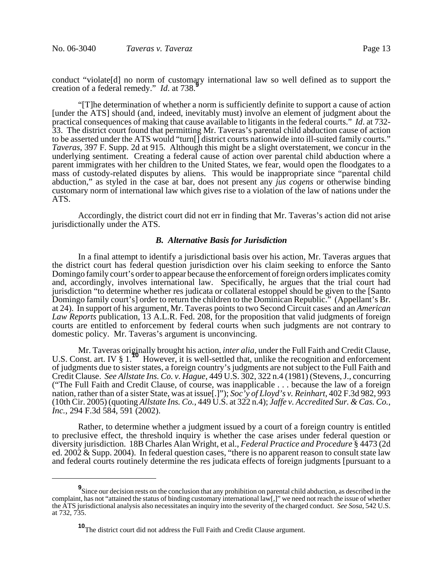conduct "violate[d] no norm of customary international law so well defined as to support the creation of a federal remedy." *Id.* at 738.<sup>9</sup> Ĩ

"[T]he determination of whether a norm is sufficiently definite to support a cause of action [under the ATS] should (and, indeed, inevitably must) involve an element of judgment about the practical consequences of making that cause available to litigants in the federal courts." *Id*. at 732- 33. The district court found that permitting Mr. Taveras's parental child abduction cause of action to be asserted under the ATS would "turn[] district courts nationwide into ill-suited family courts." *Taveras*, 397 F. Supp. 2d at 915. Although this might be a slight overstatement, we concur in the underlying sentiment. Creating a federal cause of action over parental child abduction where a parent immigrates with her children to the United States, we fear, would open the floodgates to a mass of custody-related disputes by aliens. This would be inappropriate since "parental child abduction," as styled in the case at bar, does not present any *jus cogens* or otherwise binding customary norm of international law which gives rise to a violation of the law of nations under the ATS.

Accordingly, the district court did not err in finding that Mr. Taveras's action did not arise jurisdictionally under the ATS.

### *B. Alternative Basis for Jurisdiction*

In a final attempt to identify a jurisdictional basis over his action, Mr. Taveras argues that the district court has federal question jurisdiction over his claim seeking to enforce the Santo Domingo family court's order to appear because the enforcement of foreign orders implicates comity and, accordingly, involves international law. Specifically, he argues that the trial court had jurisdiction "to determine whether res judicata or collateral estoppel should be given to the [Santo Domingo family court's] order to return the children to the Dominican Republic." (Appellant's Br. at 24). In support of his argument, Mr. Taveras points to two Second Circuit cases and an *American Law Reports* publication, 13 A.L.R. Fed. 208, for the proposition that valid judgments of foreign courts are entitled to enforcement by federal courts when such judgments are not contrary to domestic policy. Mr. Taveras's argument is unconvincing.

Mr. Taveras originally brought his action, *inter alia*, under the Full Faith and Credit Clause, U.S. Const. art. IV § 1.<sup>10</sup> However, it is well-settled that, unlike the recognition and enforcement of judgments due to sister states, a foreign country's judgments are not subject to the Full Faith and Credit Clause. *See Allstate Ins. Co. v. Hague*, 449 U.S. 302, 322 n.4 (1981) (Stevens, J., concurring ("The Full Faith and Credit Clause, of course, was inapplicable . . . because the law of a foreign nation, rather than of a sister State, was at issue[.]"); *Soc'y of Lloyd's v. Reinhart*, 402 F.3d 982, 993 (10th Cir. 2005) (quoting *Allstate Ins. Co.*, 449 U.S. at 322 n.4); *Jaffe v. Accredited Sur. & Cas. Co.*, *Inc.*, 294 F.3d 584, 591 (2002).

Rather, to determine whether a judgment issued by a court of a foreign country is entitled to preclusive effect, the threshold inquiry is whether the case arises under federal question or diversity jurisdiction. 18B Charles Alan Wright, et al., *Federal Practice and Procedure* § 4473 (2d ed. 2002 & Supp. 2004). In federal question cases, "there is no apparent reason to consult state law and federal courts routinely determine the res judicata effects of foreign judgments [pursuant to a

**<sup>9</sup>** Since our decision rests on the conclusion that any prohibition on parental child abduction, as described in the complaint, has not "attained the status of binding customary international  $\lceil \text{aw} \rceil$ ," we need not reach the issue of whether the ATS jurisdictional analysis also necessitates an inquiry into the severity of the charged conduct. *See Sosa*, 542 U.S. at 732, 735.

**<sup>10</sup>**The district court did not address the Full Faith and Credit Clause argument.